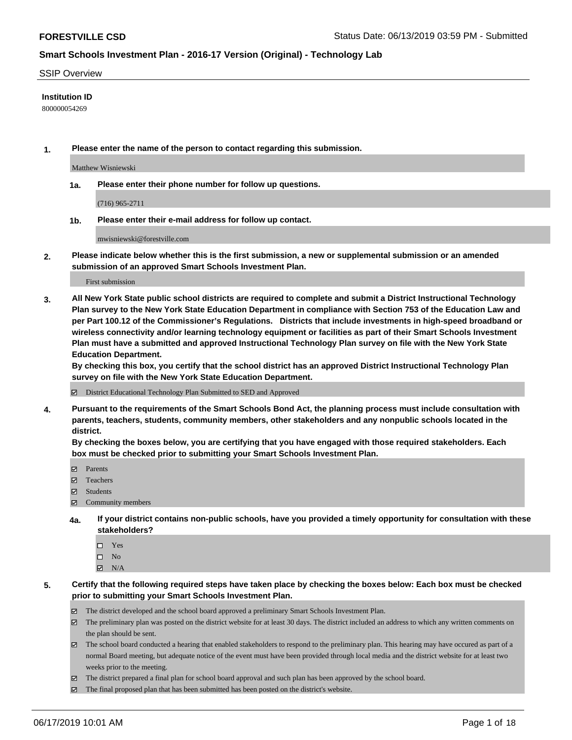### SSIP Overview

### **Institution ID**

800000054269

**1. Please enter the name of the person to contact regarding this submission.**

Matthew Wisniewski

**1a. Please enter their phone number for follow up questions.**

(716) 965-2711

**1b. Please enter their e-mail address for follow up contact.**

mwisniewski@forestville.com

**2. Please indicate below whether this is the first submission, a new or supplemental submission or an amended submission of an approved Smart Schools Investment Plan.**

First submission

**3. All New York State public school districts are required to complete and submit a District Instructional Technology Plan survey to the New York State Education Department in compliance with Section 753 of the Education Law and per Part 100.12 of the Commissioner's Regulations. Districts that include investments in high-speed broadband or wireless connectivity and/or learning technology equipment or facilities as part of their Smart Schools Investment Plan must have a submitted and approved Instructional Technology Plan survey on file with the New York State Education Department.** 

**By checking this box, you certify that the school district has an approved District Instructional Technology Plan survey on file with the New York State Education Department.**

District Educational Technology Plan Submitted to SED and Approved

**4. Pursuant to the requirements of the Smart Schools Bond Act, the planning process must include consultation with parents, teachers, students, community members, other stakeholders and any nonpublic schools located in the district.** 

**By checking the boxes below, you are certifying that you have engaged with those required stakeholders. Each box must be checked prior to submitting your Smart Schools Investment Plan.**

- Parents
- Teachers
- Students
- Community members
- **4a. If your district contains non-public schools, have you provided a timely opportunity for consultation with these stakeholders?**
	- □ Yes
	- $\square$  No
	- $N/A$
- **5. Certify that the following required steps have taken place by checking the boxes below: Each box must be checked prior to submitting your Smart Schools Investment Plan.**
	- The district developed and the school board approved a preliminary Smart Schools Investment Plan.
	- $\boxtimes$  The preliminary plan was posted on the district website for at least 30 days. The district included an address to which any written comments on the plan should be sent.
	- The school board conducted a hearing that enabled stakeholders to respond to the preliminary plan. This hearing may have occured as part of a normal Board meeting, but adequate notice of the event must have been provided through local media and the district website for at least two weeks prior to the meeting.
	- The district prepared a final plan for school board approval and such plan has been approved by the school board.
	- $\boxtimes$  The final proposed plan that has been submitted has been posted on the district's website.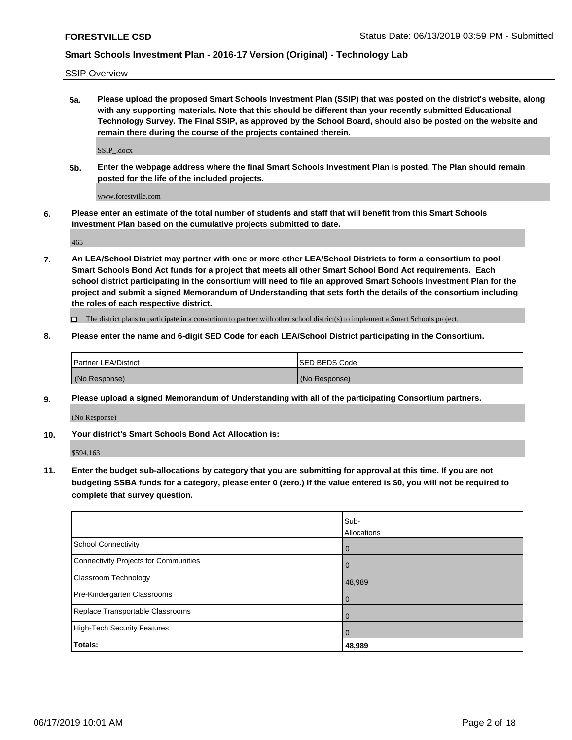SSIP Overview

**5a. Please upload the proposed Smart Schools Investment Plan (SSIP) that was posted on the district's website, along with any supporting materials. Note that this should be different than your recently submitted Educational Technology Survey. The Final SSIP, as approved by the School Board, should also be posted on the website and remain there during the course of the projects contained therein.**

SSIP\_.docx

**5b. Enter the webpage address where the final Smart Schools Investment Plan is posted. The Plan should remain posted for the life of the included projects.**

www.forestville.com

**6. Please enter an estimate of the total number of students and staff that will benefit from this Smart Schools Investment Plan based on the cumulative projects submitted to date.**

465

**7. An LEA/School District may partner with one or more other LEA/School Districts to form a consortium to pool Smart Schools Bond Act funds for a project that meets all other Smart School Bond Act requirements. Each school district participating in the consortium will need to file an approved Smart Schools Investment Plan for the project and submit a signed Memorandum of Understanding that sets forth the details of the consortium including the roles of each respective district.**

 $\Box$  The district plans to participate in a consortium to partner with other school district(s) to implement a Smart Schools project.

### **8. Please enter the name and 6-digit SED Code for each LEA/School District participating in the Consortium.**

| Partner LEA/District | <b>ISED BEDS Code</b> |
|----------------------|-----------------------|
| (No Response)        | (No Response)         |

#### **9. Please upload a signed Memorandum of Understanding with all of the participating Consortium partners.**

(No Response)

**10. Your district's Smart Schools Bond Act Allocation is:**

\$594,163

**11. Enter the budget sub-allocations by category that you are submitting for approval at this time. If you are not budgeting SSBA funds for a category, please enter 0 (zero.) If the value entered is \$0, you will not be required to complete that survey question.**

|                                       | Sub-<br><b>Allocations</b> |
|---------------------------------------|----------------------------|
| School Connectivity                   | $\overline{0}$             |
| Connectivity Projects for Communities | $\overline{0}$             |
| <b>Classroom Technology</b>           | 48,989                     |
| Pre-Kindergarten Classrooms           | $\overline{0}$             |
| Replace Transportable Classrooms      | $\mathbf 0$                |
| High-Tech Security Features           | $\Omega$                   |
| Totals:                               | 48,989                     |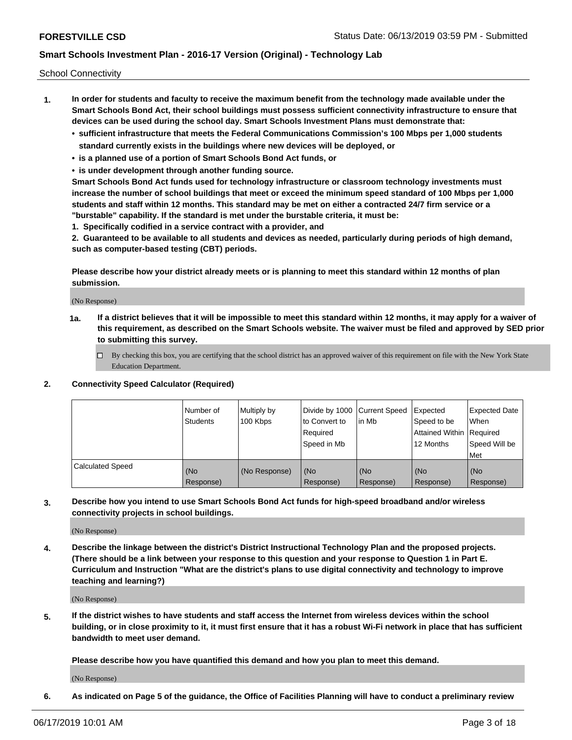School Connectivity

- **1. In order for students and faculty to receive the maximum benefit from the technology made available under the Smart Schools Bond Act, their school buildings must possess sufficient connectivity infrastructure to ensure that devices can be used during the school day. Smart Schools Investment Plans must demonstrate that:**
	- **• sufficient infrastructure that meets the Federal Communications Commission's 100 Mbps per 1,000 students standard currently exists in the buildings where new devices will be deployed, or**
	- **• is a planned use of a portion of Smart Schools Bond Act funds, or**
	- **• is under development through another funding source.**

**Smart Schools Bond Act funds used for technology infrastructure or classroom technology investments must increase the number of school buildings that meet or exceed the minimum speed standard of 100 Mbps per 1,000 students and staff within 12 months. This standard may be met on either a contracted 24/7 firm service or a "burstable" capability. If the standard is met under the burstable criteria, it must be:**

**1. Specifically codified in a service contract with a provider, and**

**2. Guaranteed to be available to all students and devices as needed, particularly during periods of high demand, such as computer-based testing (CBT) periods.**

**Please describe how your district already meets or is planning to meet this standard within 12 months of plan submission.**

(No Response)

**1a. If a district believes that it will be impossible to meet this standard within 12 months, it may apply for a waiver of this requirement, as described on the Smart Schools website. The waiver must be filed and approved by SED prior to submitting this survey.**

 $\Box$  By checking this box, you are certifying that the school district has an approved waiver of this requirement on file with the New York State Education Department.

### **2. Connectivity Speed Calculator (Required)**

|                         | Number of<br><b>Students</b> | Multiply by<br>100 Kbps | Divide by 1000 Current Speed<br>to Convert to<br>Required<br>Speed in Mb | lin Mb           | Expected<br>Speed to be<br>Attained Within   Required<br>12 Months | <b>Expected Date</b><br>When<br>Speed Will be<br>Met |
|-------------------------|------------------------------|-------------------------|--------------------------------------------------------------------------|------------------|--------------------------------------------------------------------|------------------------------------------------------|
| <b>Calculated Speed</b> | (No<br>Response)             | (No Response)           | (No<br>Response)                                                         | (No<br>Response) | (No<br>Response)                                                   | (No<br>Response)                                     |

**3. Describe how you intend to use Smart Schools Bond Act funds for high-speed broadband and/or wireless connectivity projects in school buildings.**

(No Response)

**4. Describe the linkage between the district's District Instructional Technology Plan and the proposed projects. (There should be a link between your response to this question and your response to Question 1 in Part E. Curriculum and Instruction "What are the district's plans to use digital connectivity and technology to improve teaching and learning?)**

(No Response)

**5. If the district wishes to have students and staff access the Internet from wireless devices within the school building, or in close proximity to it, it must first ensure that it has a robust Wi-Fi network in place that has sufficient bandwidth to meet user demand.**

**Please describe how you have quantified this demand and how you plan to meet this demand.**

(No Response)

**6. As indicated on Page 5 of the guidance, the Office of Facilities Planning will have to conduct a preliminary review**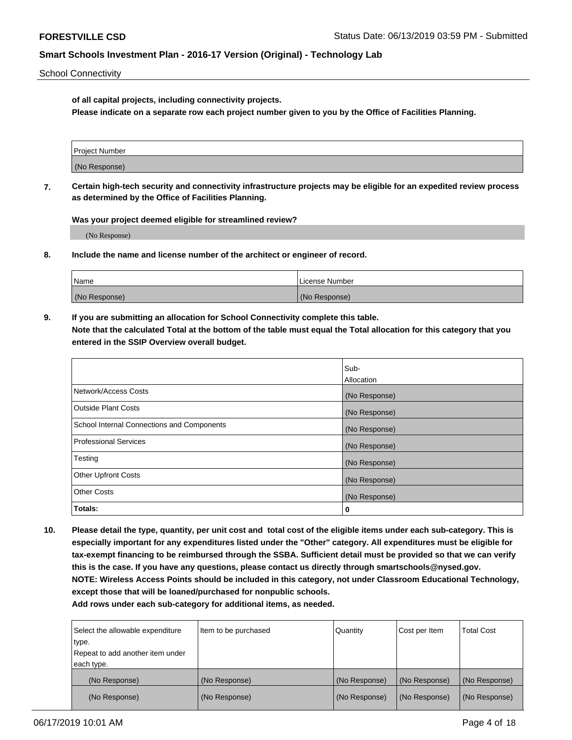School Connectivity

**of all capital projects, including connectivity projects.**

**Please indicate on a separate row each project number given to you by the Office of Facilities Planning.**

| Project Number |  |
|----------------|--|
|                |  |
|                |  |
|                |  |
| (No Response)  |  |
|                |  |
|                |  |
|                |  |

**7. Certain high-tech security and connectivity infrastructure projects may be eligible for an expedited review process as determined by the Office of Facilities Planning.**

**Was your project deemed eligible for streamlined review?**

(No Response)

**8. Include the name and license number of the architect or engineer of record.**

| Name          | License Number |
|---------------|----------------|
| (No Response) | (No Response)  |

**9. If you are submitting an allocation for School Connectivity complete this table. Note that the calculated Total at the bottom of the table must equal the Total allocation for this category that you entered in the SSIP Overview overall budget.** 

|                                            | Sub-              |
|--------------------------------------------|-------------------|
|                                            | <b>Allocation</b> |
| Network/Access Costs                       | (No Response)     |
| <b>Outside Plant Costs</b>                 | (No Response)     |
| School Internal Connections and Components | (No Response)     |
| <b>Professional Services</b>               | (No Response)     |
| Testing                                    | (No Response)     |
| <b>Other Upfront Costs</b>                 | (No Response)     |
| <b>Other Costs</b>                         | (No Response)     |
| Totals:                                    | 0                 |

**10. Please detail the type, quantity, per unit cost and total cost of the eligible items under each sub-category. This is especially important for any expenditures listed under the "Other" category. All expenditures must be eligible for tax-exempt financing to be reimbursed through the SSBA. Sufficient detail must be provided so that we can verify this is the case. If you have any questions, please contact us directly through smartschools@nysed.gov. NOTE: Wireless Access Points should be included in this category, not under Classroom Educational Technology, except those that will be loaned/purchased for nonpublic schools.**

| Select the allowable expenditure | Item to be purchased | Quantity      | Cost per Item | <b>Total Cost</b> |
|----------------------------------|----------------------|---------------|---------------|-------------------|
| type.                            |                      |               |               |                   |
| Repeat to add another item under |                      |               |               |                   |
| each type.                       |                      |               |               |                   |
| (No Response)                    | (No Response)        | (No Response) | (No Response) | (No Response)     |
| (No Response)                    | (No Response)        | (No Response) | (No Response) | (No Response)     |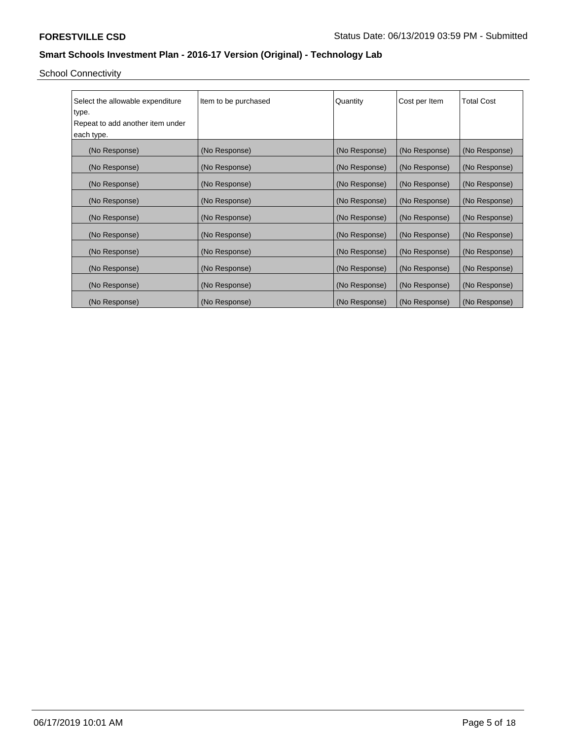School Connectivity

| Select the allowable expenditure | Item to be purchased | Quantity      | Cost per Item | <b>Total Cost</b> |
|----------------------------------|----------------------|---------------|---------------|-------------------|
| type.                            |                      |               |               |                   |
| Repeat to add another item under |                      |               |               |                   |
| each type.                       |                      |               |               |                   |
| (No Response)                    | (No Response)        | (No Response) | (No Response) | (No Response)     |
| (No Response)                    | (No Response)        | (No Response) | (No Response) | (No Response)     |
| (No Response)                    | (No Response)        | (No Response) | (No Response) | (No Response)     |
| (No Response)                    | (No Response)        | (No Response) | (No Response) | (No Response)     |
| (No Response)                    | (No Response)        | (No Response) | (No Response) | (No Response)     |
| (No Response)                    | (No Response)        | (No Response) | (No Response) | (No Response)     |
| (No Response)                    | (No Response)        | (No Response) | (No Response) | (No Response)     |
| (No Response)                    | (No Response)        | (No Response) | (No Response) | (No Response)     |
| (No Response)                    | (No Response)        | (No Response) | (No Response) | (No Response)     |
| (No Response)                    | (No Response)        | (No Response) | (No Response) | (No Response)     |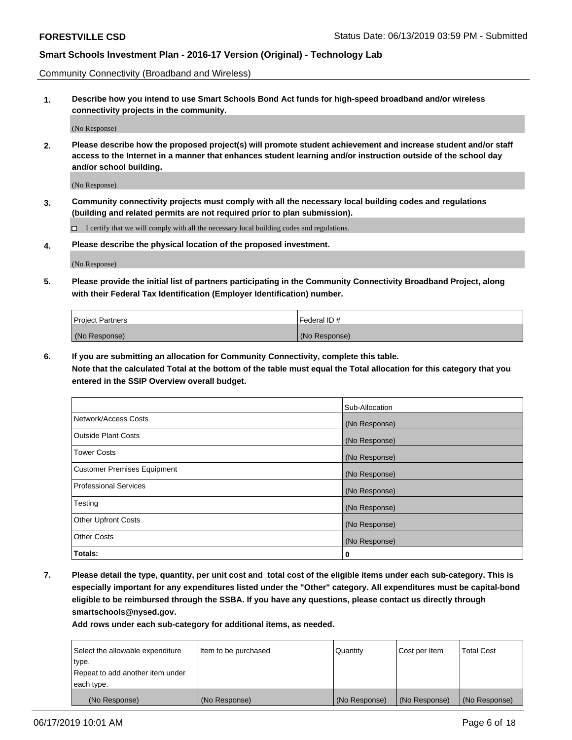Community Connectivity (Broadband and Wireless)

**1. Describe how you intend to use Smart Schools Bond Act funds for high-speed broadband and/or wireless connectivity projects in the community.**

(No Response)

**2. Please describe how the proposed project(s) will promote student achievement and increase student and/or staff access to the Internet in a manner that enhances student learning and/or instruction outside of the school day and/or school building.**

(No Response)

**3. Community connectivity projects must comply with all the necessary local building codes and regulations (building and related permits are not required prior to plan submission).**

 $\Box$  I certify that we will comply with all the necessary local building codes and regulations.

**4. Please describe the physical location of the proposed investment.**

(No Response)

**5. Please provide the initial list of partners participating in the Community Connectivity Broadband Project, along with their Federal Tax Identification (Employer Identification) number.**

| <b>Project Partners</b> | Federal ID#   |
|-------------------------|---------------|
| (No Response)           | (No Response) |

**6. If you are submitting an allocation for Community Connectivity, complete this table.**

**Note that the calculated Total at the bottom of the table must equal the Total allocation for this category that you entered in the SSIP Overview overall budget.**

|                                    | Sub-Allocation |
|------------------------------------|----------------|
| Network/Access Costs               | (No Response)  |
| <b>Outside Plant Costs</b>         | (No Response)  |
| <b>Tower Costs</b>                 | (No Response)  |
| <b>Customer Premises Equipment</b> | (No Response)  |
| <b>Professional Services</b>       | (No Response)  |
| Testing                            | (No Response)  |
| <b>Other Upfront Costs</b>         | (No Response)  |
| <b>Other Costs</b>                 | (No Response)  |
| Totals:                            | 0              |

**7. Please detail the type, quantity, per unit cost and total cost of the eligible items under each sub-category. This is especially important for any expenditures listed under the "Other" category. All expenditures must be capital-bond eligible to be reimbursed through the SSBA. If you have any questions, please contact us directly through smartschools@nysed.gov.**

| Select the allowable expenditure | Item to be purchased | Quantity      | Cost per Item | <b>Total Cost</b> |
|----------------------------------|----------------------|---------------|---------------|-------------------|
| type.                            |                      |               |               |                   |
| Repeat to add another item under |                      |               |               |                   |
| each type.                       |                      |               |               |                   |
| (No Response)                    | (No Response)        | (No Response) | (No Response) | (No Response)     |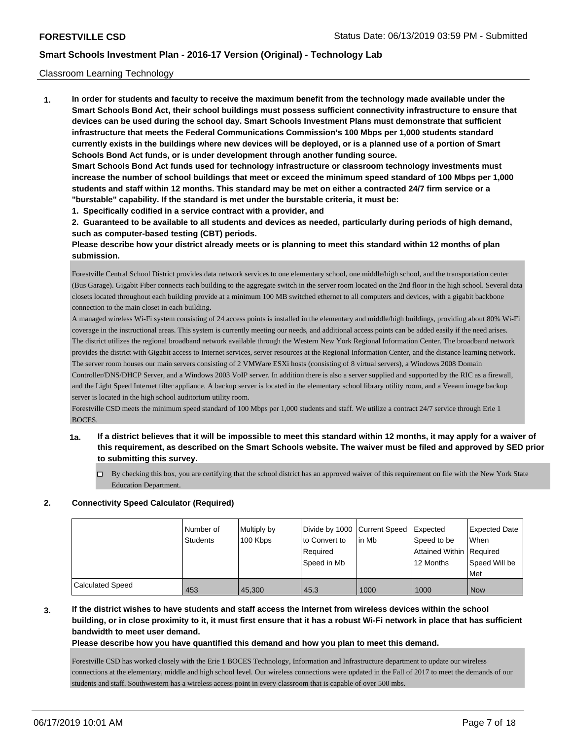### Classroom Learning Technology

**1. In order for students and faculty to receive the maximum benefit from the technology made available under the Smart Schools Bond Act, their school buildings must possess sufficient connectivity infrastructure to ensure that devices can be used during the school day. Smart Schools Investment Plans must demonstrate that sufficient infrastructure that meets the Federal Communications Commission's 100 Mbps per 1,000 students standard currently exists in the buildings where new devices will be deployed, or is a planned use of a portion of Smart Schools Bond Act funds, or is under development through another funding source. Smart Schools Bond Act funds used for technology infrastructure or classroom technology investments must**

**increase the number of school buildings that meet or exceed the minimum speed standard of 100 Mbps per 1,000 students and staff within 12 months. This standard may be met on either a contracted 24/7 firm service or a "burstable" capability. If the standard is met under the burstable criteria, it must be:**

**1. Specifically codified in a service contract with a provider, and**

**2. Guaranteed to be available to all students and devices as needed, particularly during periods of high demand, such as computer-based testing (CBT) periods.**

**Please describe how your district already meets or is planning to meet this standard within 12 months of plan submission.**

Forestville Central School District provides data network services to one elementary school, one middle/high school, and the transportation center (Bus Garage). Gigabit Fiber connects each building to the aggregate switch in the server room located on the 2nd floor in the high school. Several data closets located throughout each building provide at a minimum 100 MB switched ethernet to all computers and devices, with a gigabit backbone connection to the main closet in each building.

A managed wireless Wi-Fi system consisting of 24 access points is installed in the elementary and middle/high buildings, providing about 80% Wi-Fi coverage in the instructional areas. This system is currently meeting our needs, and additional access points can be added easily if the need arises. The district utilizes the regional broadband network available through the Western New York Regional Information Center. The broadband network provides the district with Gigabit access to Internet services, server resources at the Regional Information Center, and the distance learning network. The server room houses our main servers consisting of 2 VMWare ESXi hosts (consisting of 8 virtual servers), a Windows 2008 Domain Controller/DNS/DHCP Server, and a Windows 2003 VoIP server. In addition there is also a server supplied and supported by the RIC as a firewall, and the Light Speed Internet filter appliance. A backup server is located in the elementary school library utility room, and a Veeam image backup server is located in the high school auditorium utility room.

Forestville CSD meets the minimum speed standard of 100 Mbps per 1,000 students and staff. We utilize a contract 24/7 service through Erie 1 BOCES.

# **1a. If a district believes that it will be impossible to meet this standard within 12 months, it may apply for a waiver of this requirement, as described on the Smart Schools website. The waiver must be filed and approved by SED prior to submitting this survey.**

By checking this box, you are certifying that the school district has an approved waiver of this requirement on file with the New York State Education Department.

#### **2. Connectivity Speed Calculator (Required)**

|                  | l Number of<br><b>Students</b> | Multiply by<br>100 Kbps | Divide by 1000 Current Speed<br>to Convert to<br>Required<br>Speed in Mb | lin Mb | Expected<br>Speed to be<br>Attained Within Required<br>12 Months | <b>Expected Date</b><br>When<br>Speed Will be<br><b>Met</b> |
|------------------|--------------------------------|-------------------------|--------------------------------------------------------------------------|--------|------------------------------------------------------------------|-------------------------------------------------------------|
| Calculated Speed | 453                            | 45.300                  | 45.3                                                                     | 1000   | 1000                                                             | <b>Now</b>                                                  |

# **3. If the district wishes to have students and staff access the Internet from wireless devices within the school building, or in close proximity to it, it must first ensure that it has a robust Wi-Fi network in place that has sufficient bandwidth to meet user demand.**

**Please describe how you have quantified this demand and how you plan to meet this demand.**

Forestville CSD has worked closely with the Erie 1 BOCES Technology, Information and Infrastructure department to update our wireless connections at the elementary, middle and high school level. Our wireless connections were updated in the Fall of 2017 to meet the demands of our students and staff. Southwestern has a wireless access point in every classroom that is capable of over 500 mbs.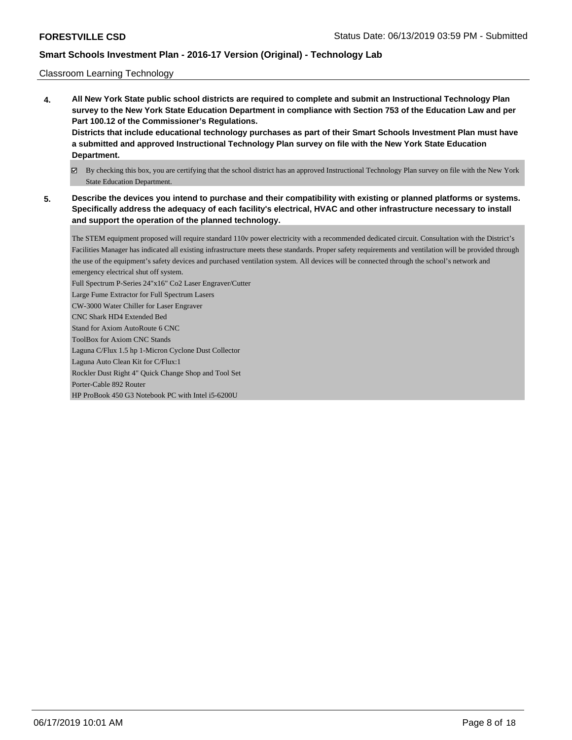### Classroom Learning Technology

- **4. All New York State public school districts are required to complete and submit an Instructional Technology Plan survey to the New York State Education Department in compliance with Section 753 of the Education Law and per Part 100.12 of the Commissioner's Regulations. Districts that include educational technology purchases as part of their Smart Schools Investment Plan must have a submitted and approved Instructional Technology Plan survey on file with the New York State Education Department.**
	- By checking this box, you are certifying that the school district has an approved Instructional Technology Plan survey on file with the New York State Education Department.
- **5. Describe the devices you intend to purchase and their compatibility with existing or planned platforms or systems. Specifically address the adequacy of each facility's electrical, HVAC and other infrastructure necessary to install and support the operation of the planned technology.**

The STEM equipment proposed will require standard 110v power electricity with a recommended dedicated circuit. Consultation with the District's Facilities Manager has indicated all existing infrastructure meets these standards. Proper safety requirements and ventilation will be provided through the use of the equipment's safety devices and purchased ventilation system. All devices will be connected through the school's network and emergency electrical shut off system. Full Spectrum P-Series 24"x16" Co2 Laser Engraver/Cutter Large Fume Extractor for Full Spectrum Lasers CW-3000 Water Chiller for Laser Engraver

CNC Shark HD4 Extended Bed

Stand for Axiom AutoRoute 6 CNC

ToolBox for Axiom CNC Stands

Laguna C/Flux 1.5 hp 1-Micron Cyclone Dust Collector

Laguna Auto Clean Kit for C/Flux:1

Rockler Dust Right 4" Quick Change Shop and Tool Set

Porter-Cable 892 Router

HP ProBook 450 G3 Notebook PC with Intel i5-6200U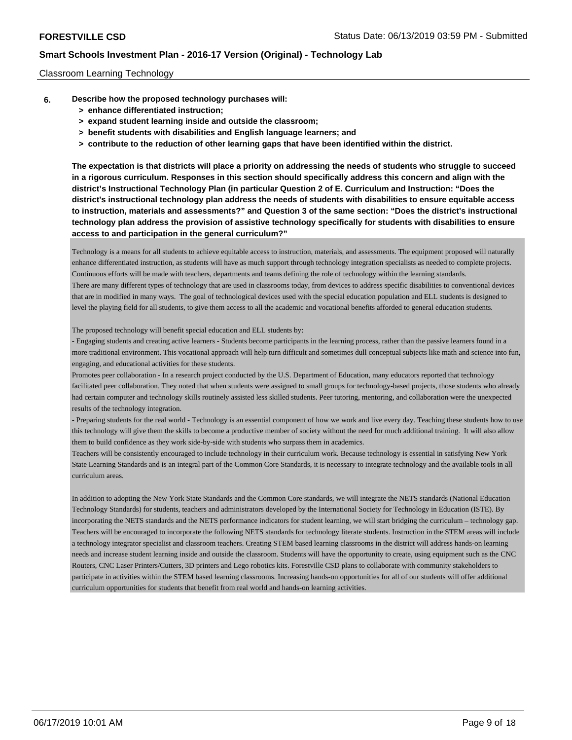### Classroom Learning Technology

- **6. Describe how the proposed technology purchases will:**
	- **> enhance differentiated instruction;**
	- **> expand student learning inside and outside the classroom;**
	- **> benefit students with disabilities and English language learners; and**
	- **> contribute to the reduction of other learning gaps that have been identified within the district.**

**The expectation is that districts will place a priority on addressing the needs of students who struggle to succeed in a rigorous curriculum. Responses in this section should specifically address this concern and align with the district's Instructional Technology Plan (in particular Question 2 of E. Curriculum and Instruction: "Does the district's instructional technology plan address the needs of students with disabilities to ensure equitable access to instruction, materials and assessments?" and Question 3 of the same section: "Does the district's instructional technology plan address the provision of assistive technology specifically for students with disabilities to ensure access to and participation in the general curriculum?"**

Technology is a means for all students to achieve equitable access to instruction, materials, and assessments. The equipment proposed will naturally enhance differentiated instruction, as students will have as much support through technology integration specialists as needed to complete projects. Continuous efforts will be made with teachers, departments and teams defining the role of technology within the learning standards. There are many different types of technology that are used in classrooms today, from devices to address specific disabilities to conventional devices that are in modified in many ways. The goal of technological devices used with the special education population and ELL students is designed to level the playing field for all students, to give them access to all the academic and vocational benefits afforded to general education students.

The proposed technology will benefit special education and ELL students by:

- Engaging students and creating active learners - Students become participants in the learning process, rather than the passive learners found in a more traditional environment. This vocational approach will help turn difficult and sometimes dull conceptual subjects like math and science into fun, engaging, and educational activities for these students.

Promotes peer collaboration - In a research project conducted by the U.S. Department of Education, many educators reported that technology facilitated peer collaboration. They noted that when students were assigned to small groups for technology-based projects, those students who already had certain computer and technology skills routinely assisted less skilled students. Peer tutoring, mentoring, and collaboration were the unexpected results of the technology integration.

- Preparing students for the real world - Technology is an essential component of how we work and live every day. Teaching these students how to use this technology will give them the skills to become a productive member of society without the need for much additional training. It will also allow them to build confidence as they work side-by-side with students who surpass them in academics.

Teachers will be consistently encouraged to include technology in their curriculum work. Because technology is essential in satisfying New York State Learning Standards and is an integral part of the Common Core Standards, it is necessary to integrate technology and the available tools in all curriculum areas.

In addition to adopting the New York State Standards and the Common Core standards, we will integrate the NETS standards (National Education Technology Standards) for students, teachers and administrators developed by the International Society for Technology in Education (ISTE). By incorporating the NETS standards and the NETS performance indicators for student learning, we will start bridging the curriculum – technology gap. Teachers will be encouraged to incorporate the following NETS standards for technology literate students. Instruction in the STEM areas will include a technology integrator specialist and classroom teachers. Creating STEM based learning classrooms in the district will address hands-on learning needs and increase student learning inside and outside the classroom. Students will have the opportunity to create, using equipment such as the CNC Routers, CNC Laser Printers/Cutters, 3D printers and Lego robotics kits. Forestville CSD plans to collaborate with community stakeholders to participate in activities within the STEM based learning classrooms. Increasing hands-on opportunities for all of our students will offer additional curriculum opportunities for students that benefit from real world and hands-on learning activities.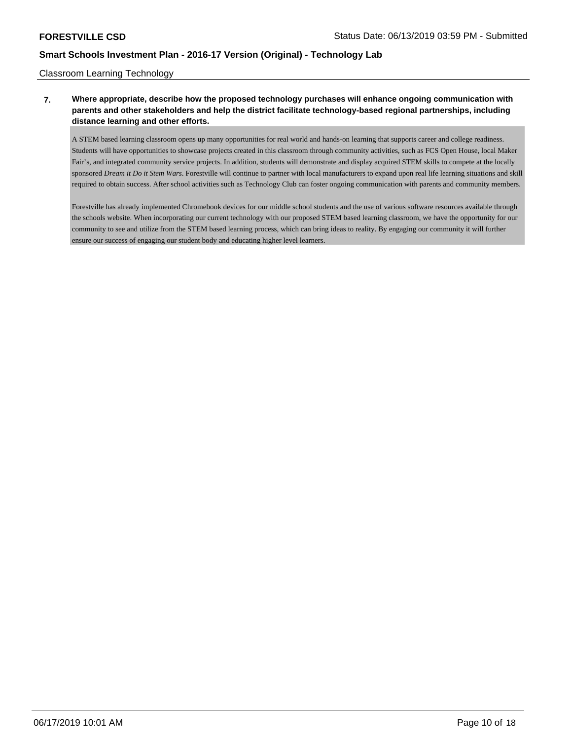### Classroom Learning Technology

# **7. Where appropriate, describe how the proposed technology purchases will enhance ongoing communication with parents and other stakeholders and help the district facilitate technology-based regional partnerships, including distance learning and other efforts.**

A STEM based learning classroom opens up many opportunities for real world and hands-on learning that supports career and college readiness. Students will have opportunities to showcase projects created in this classroom through community activities, such as FCS Open House, local Maker Fair's, and integrated community service projects. In addition, students will demonstrate and display acquired STEM skills to compete at the locally sponsored *Dream it Do it Stem Wars*. Forestville will continue to partner with local manufacturers to expand upon real life learning situations and skill required to obtain success. After school activities such as Technology Club can foster ongoing communication with parents and community members.

Forestville has already implemented Chromebook devices for our middle school students and the use of various software resources available through the schools website. When incorporating our current technology with our proposed STEM based learning classroom, we have the opportunity for our community to see and utilize from the STEM based learning process, which can bring ideas to reality. By engaging our community it will further ensure our success of engaging our student body and educating higher level learners.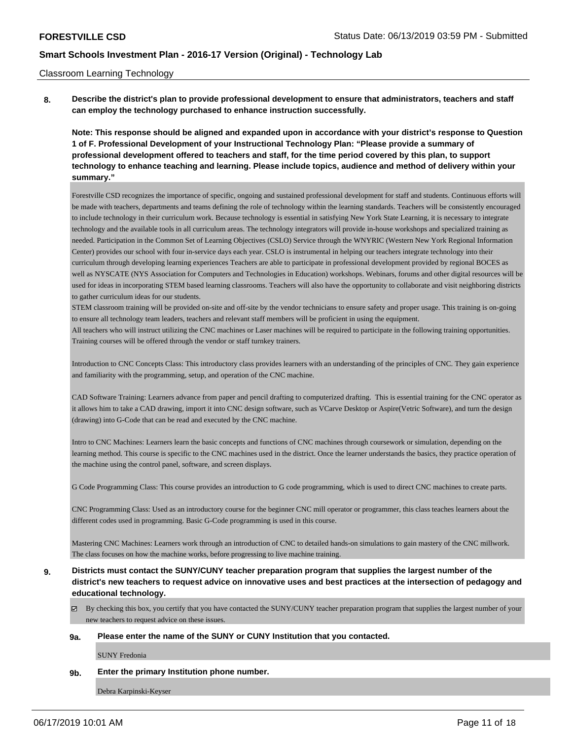### Classroom Learning Technology

**8. Describe the district's plan to provide professional development to ensure that administrators, teachers and staff can employ the technology purchased to enhance instruction successfully.**

**Note: This response should be aligned and expanded upon in accordance with your district's response to Question 1 of F. Professional Development of your Instructional Technology Plan: "Please provide a summary of professional development offered to teachers and staff, for the time period covered by this plan, to support technology to enhance teaching and learning. Please include topics, audience and method of delivery within your summary."**

Forestville CSD recognizes the importance of specific, ongoing and sustained professional development for staff and students. Continuous efforts will be made with teachers, departments and teams defining the role of technology within the learning standards. Teachers will be consistently encouraged to include technology in their curriculum work. Because technology is essential in satisfying New York State Learning, it is necessary to integrate technology and the available tools in all curriculum areas. The technology integrators will provide in-house workshops and specialized training as needed. Participation in the Common Set of Learning Objectives (CSLO) Service through the WNYRIC (Western New York Regional Information Center) provides our school with four in-service days each year. CSLO is instrumental in helping our teachers integrate technology into their curriculum through developing learning experiences Teachers are able to participate in professional development provided by regional BOCES as well as NYSCATE (NYS Association for Computers and Technologies in Education) workshops. Webinars, forums and other digital resources will be used for ideas in incorporating STEM based learning classrooms. Teachers will also have the opportunity to collaborate and visit neighboring districts to gather curriculum ideas for our students.

STEM classroom training will be provided on-site and off-site by the vendor technicians to ensure safety and proper usage. This training is on-going to ensure all technology team leaders, teachers and relevant staff members will be proficient in using the equipment.

All teachers who will instruct utilizing the CNC machines or Laser machines will be required to participate in the following training opportunities. Training courses will be offered through the vendor or staff turnkey trainers.

Introduction to CNC Concepts Class: This introductory class provides learners with an understanding of the principles of CNC. They gain experience and familiarity with the programming, setup, and operation of the CNC machine.

CAD Software Training: Learners advance from paper and pencil drafting to computerized drafting. This is essential training for the CNC operator as it allows him to take a CAD drawing, import it into CNC design software, such as VCarve Desktop or Aspire(Vetric Software), and turn the design (drawing) into G-Code that can be read and executed by the CNC machine.

Intro to CNC Machines: Learners learn the basic concepts and functions of CNC machines through coursework or simulation, depending on the learning method. This course is specific to the CNC machines used in the district. Once the learner understands the basics, they practice operation of the machine using the control panel, software, and screen displays.

G Code Programming Class: This course provides an introduction to G code programming, which is used to direct CNC machines to create parts.

CNC Programming Class: Used as an introductory course for the beginner CNC mill operator or programmer, this class teaches learners about the different codes used in programming. Basic G-Code programming is used in this course.

Mastering CNC Machines: Learners work through an introduction of CNC to detailed hands-on simulations to gain mastery of the CNC millwork. The class focuses on how the machine works, before progressing to live machine training.

# **9. Districts must contact the SUNY/CUNY teacher preparation program that supplies the largest number of the district's new teachers to request advice on innovative uses and best practices at the intersection of pedagogy and educational technology.**

By checking this box, you certify that you have contacted the SUNY/CUNY teacher preparation program that supplies the largest number of your new teachers to request advice on these issues.

#### **9a. Please enter the name of the SUNY or CUNY Institution that you contacted.**

SUNY Fredonia

### **9b. Enter the primary Institution phone number.**

Debra Karpinski-Keyser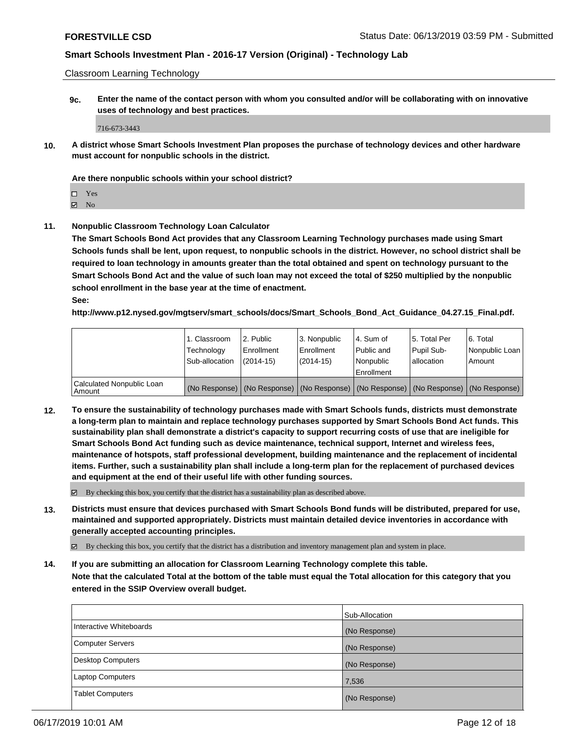Classroom Learning Technology

**9c. Enter the name of the contact person with whom you consulted and/or will be collaborating with on innovative uses of technology and best practices.**

716-673-3443

**10. A district whose Smart Schools Investment Plan proposes the purchase of technology devices and other hardware must account for nonpublic schools in the district.**

### **Are there nonpublic schools within your school district?**

Yes

 $\boxtimes$  No

**11. Nonpublic Classroom Technology Loan Calculator**

**The Smart Schools Bond Act provides that any Classroom Learning Technology purchases made using Smart Schools funds shall be lent, upon request, to nonpublic schools in the district. However, no school district shall be required to loan technology in amounts greater than the total obtained and spent on technology pursuant to the Smart Schools Bond Act and the value of such loan may not exceed the total of \$250 multiplied by the nonpublic school enrollment in the base year at the time of enactment.**

**See:**

**http://www.p12.nysed.gov/mgtserv/smart\_schools/docs/Smart\_Schools\_Bond\_Act\_Guidance\_04.27.15\_Final.pdf.**

|                                       | 1. Classroom<br>Technology<br>Sub-allocation | 2. Public<br>Enrollment<br>(2014-15) | 3. Nonpublic<br>Enrollment<br>(2014-15) | 14. Sum of<br>Public and<br>l Nonpublic<br>Enrollment | l 5. Total Per<br>Pupil Sub-<br>allocation | 6. Total<br>Nonpublic Loan  <br>Amount                                                        |
|---------------------------------------|----------------------------------------------|--------------------------------------|-----------------------------------------|-------------------------------------------------------|--------------------------------------------|-----------------------------------------------------------------------------------------------|
| Calculated Nonpublic Loan<br>l Amount |                                              |                                      |                                         |                                                       |                                            | (No Response)   (No Response)   (No Response)   (No Response)   (No Response)   (No Response) |

**12. To ensure the sustainability of technology purchases made with Smart Schools funds, districts must demonstrate a long-term plan to maintain and replace technology purchases supported by Smart Schools Bond Act funds. This sustainability plan shall demonstrate a district's capacity to support recurring costs of use that are ineligible for Smart Schools Bond Act funding such as device maintenance, technical support, Internet and wireless fees, maintenance of hotspots, staff professional development, building maintenance and the replacement of incidental items. Further, such a sustainability plan shall include a long-term plan for the replacement of purchased devices and equipment at the end of their useful life with other funding sources.**

By checking this box, you certify that the district has a sustainability plan as described above.

**13. Districts must ensure that devices purchased with Smart Schools Bond funds will be distributed, prepared for use, maintained and supported appropriately. Districts must maintain detailed device inventories in accordance with generally accepted accounting principles.**

By checking this box, you certify that the district has a distribution and inventory management plan and system in place.

**14. If you are submitting an allocation for Classroom Learning Technology complete this table. Note that the calculated Total at the bottom of the table must equal the Total allocation for this category that you**

**entered in the SSIP Overview overall budget.**

|                          | Sub-Allocation |
|--------------------------|----------------|
| Interactive Whiteboards  | (No Response)  |
| <b>Computer Servers</b>  | (No Response)  |
| <b>Desktop Computers</b> | (No Response)  |
| <b>Laptop Computers</b>  | 7,536          |
| <b>Tablet Computers</b>  | (No Response)  |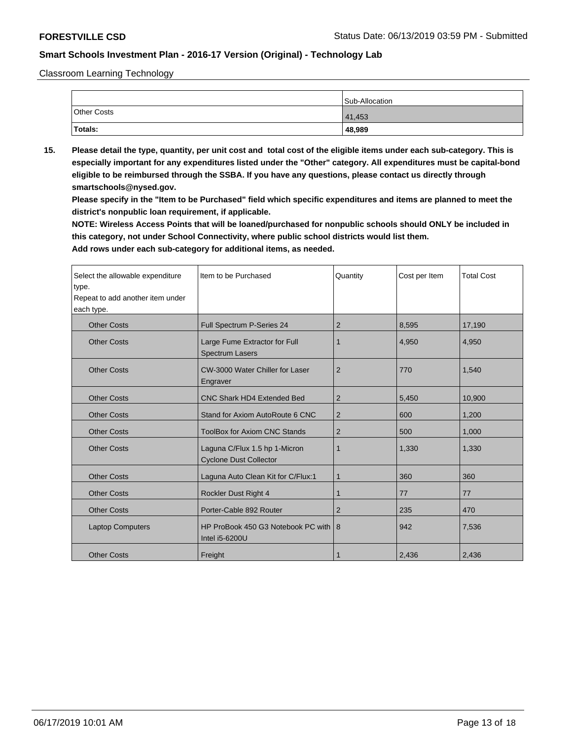Classroom Learning Technology

|             | Sub-Allocation |
|-------------|----------------|
| Other Costs | 41,453         |
| Totals:     | 48,989         |

**15. Please detail the type, quantity, per unit cost and total cost of the eligible items under each sub-category. This is especially important for any expenditures listed under the "Other" category. All expenditures must be capital-bond eligible to be reimbursed through the SSBA. If you have any questions, please contact us directly through smartschools@nysed.gov.**

**Please specify in the "Item to be Purchased" field which specific expenditures and items are planned to meet the district's nonpublic loan requirement, if applicable.**

**NOTE: Wireless Access Points that will be loaned/purchased for nonpublic schools should ONLY be included in this category, not under School Connectivity, where public school districts would list them.**

| Select the allowable expenditure<br>type.<br>Repeat to add another item under<br>each type. | Item to be Purchased                                           | Quantity       | Cost per Item | <b>Total Cost</b> |
|---------------------------------------------------------------------------------------------|----------------------------------------------------------------|----------------|---------------|-------------------|
| <b>Other Costs</b>                                                                          | Full Spectrum P-Series 24                                      | $\overline{2}$ | 8,595         | 17,190            |
| <b>Other Costs</b>                                                                          | Large Fume Extractor for Full<br><b>Spectrum Lasers</b>        | 1              | 4,950         | 4,950             |
| <b>Other Costs</b>                                                                          | CW-3000 Water Chiller for Laser<br>Engraver                    | $\overline{2}$ | 770           | 1.540             |
| <b>Other Costs</b>                                                                          | <b>CNC Shark HD4 Extended Bed</b>                              | $\overline{2}$ | 5,450         | 10,900            |
| <b>Other Costs</b>                                                                          | Stand for Axiom AutoRoute 6 CNC                                | $\overline{2}$ | 600           | 1,200             |
| <b>Other Costs</b>                                                                          | <b>ToolBox for Axiom CNC Stands</b>                            | 2              | 500           | 1,000             |
| <b>Other Costs</b>                                                                          | Laguna C/Flux 1.5 hp 1-Micron<br><b>Cyclone Dust Collector</b> | 1              | 1,330         | 1,330             |
| <b>Other Costs</b>                                                                          | Laguna Auto Clean Kit for C/Flux:1                             | 1              | 360           | 360               |
| <b>Other Costs</b>                                                                          | <b>Rockler Dust Right 4</b>                                    | 1              | 77            | 77                |
| <b>Other Costs</b>                                                                          | Porter-Cable 892 Router                                        | 2              | 235           | 470               |
| <b>Laptop Computers</b>                                                                     | HP ProBook 450 G3 Notebook PC with 8<br>Intel i5-6200U         |                | 942           | 7,536             |
| <b>Other Costs</b>                                                                          | Freight                                                        | 1              | 2,436         | 2,436             |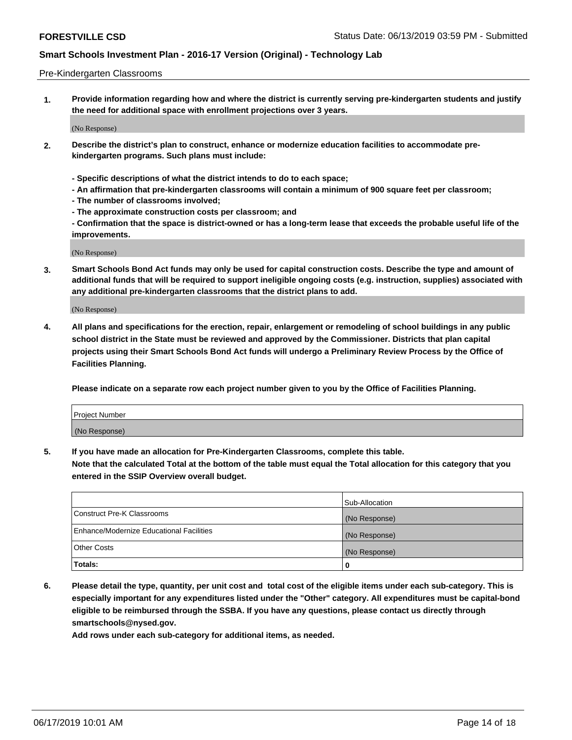### Pre-Kindergarten Classrooms

**1. Provide information regarding how and where the district is currently serving pre-kindergarten students and justify the need for additional space with enrollment projections over 3 years.**

(No Response)

- **2. Describe the district's plan to construct, enhance or modernize education facilities to accommodate prekindergarten programs. Such plans must include:**
	- **Specific descriptions of what the district intends to do to each space;**
	- **An affirmation that pre-kindergarten classrooms will contain a minimum of 900 square feet per classroom;**
	- **The number of classrooms involved;**
	- **The approximate construction costs per classroom; and**
	- **Confirmation that the space is district-owned or has a long-term lease that exceeds the probable useful life of the improvements.**

(No Response)

**3. Smart Schools Bond Act funds may only be used for capital construction costs. Describe the type and amount of additional funds that will be required to support ineligible ongoing costs (e.g. instruction, supplies) associated with any additional pre-kindergarten classrooms that the district plans to add.**

(No Response)

**4. All plans and specifications for the erection, repair, enlargement or remodeling of school buildings in any public school district in the State must be reviewed and approved by the Commissioner. Districts that plan capital projects using their Smart Schools Bond Act funds will undergo a Preliminary Review Process by the Office of Facilities Planning.**

**Please indicate on a separate row each project number given to you by the Office of Facilities Planning.**

| Project Number |  |
|----------------|--|
| (No Response)  |  |
|                |  |

**5. If you have made an allocation for Pre-Kindergarten Classrooms, complete this table.**

**Note that the calculated Total at the bottom of the table must equal the Total allocation for this category that you entered in the SSIP Overview overall budget.**

|                                          | Sub-Allocation |
|------------------------------------------|----------------|
| Construct Pre-K Classrooms               | (No Response)  |
| Enhance/Modernize Educational Facilities | (No Response)  |
| <b>Other Costs</b>                       | (No Response)  |
| Totals:                                  | 0              |

**6. Please detail the type, quantity, per unit cost and total cost of the eligible items under each sub-category. This is especially important for any expenditures listed under the "Other" category. All expenditures must be capital-bond eligible to be reimbursed through the SSBA. If you have any questions, please contact us directly through smartschools@nysed.gov.**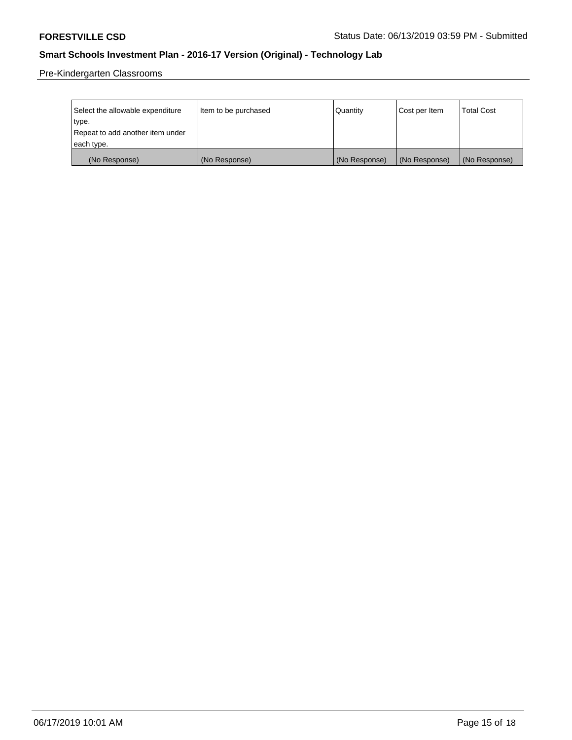Pre-Kindergarten Classrooms

| Select the allowable expenditure | Item to be purchased | Quantity      | Cost per Item | <b>Total Cost</b> |
|----------------------------------|----------------------|---------------|---------------|-------------------|
| type.                            |                      |               |               |                   |
| Repeat to add another item under |                      |               |               |                   |
| each type.                       |                      |               |               |                   |
| (No Response)                    | (No Response)        | (No Response) | (No Response) | (No Response)     |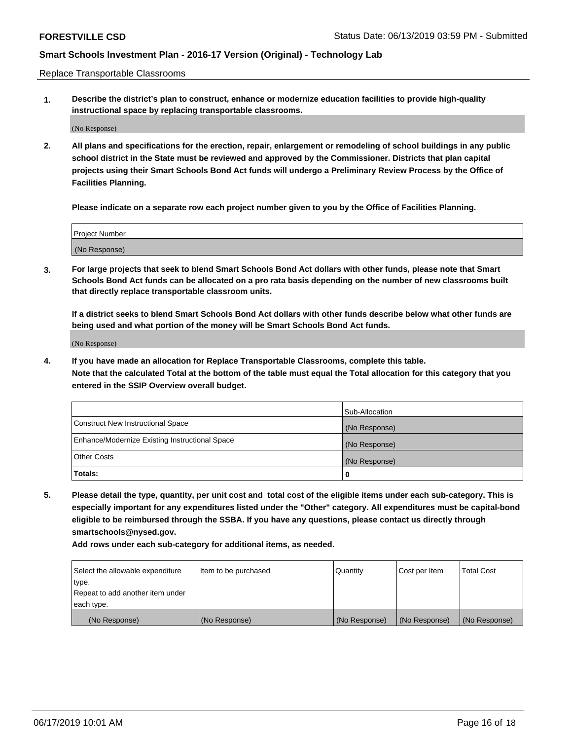Replace Transportable Classrooms

**1. Describe the district's plan to construct, enhance or modernize education facilities to provide high-quality instructional space by replacing transportable classrooms.**

(No Response)

**2. All plans and specifications for the erection, repair, enlargement or remodeling of school buildings in any public school district in the State must be reviewed and approved by the Commissioner. Districts that plan capital projects using their Smart Schools Bond Act funds will undergo a Preliminary Review Process by the Office of Facilities Planning.**

**Please indicate on a separate row each project number given to you by the Office of Facilities Planning.**

| Project Number |  |
|----------------|--|
|                |  |
|                |  |
|                |  |
|                |  |
| (No Response)  |  |
|                |  |
|                |  |
|                |  |

**3. For large projects that seek to blend Smart Schools Bond Act dollars with other funds, please note that Smart Schools Bond Act funds can be allocated on a pro rata basis depending on the number of new classrooms built that directly replace transportable classroom units.**

**If a district seeks to blend Smart Schools Bond Act dollars with other funds describe below what other funds are being used and what portion of the money will be Smart Schools Bond Act funds.**

(No Response)

**4. If you have made an allocation for Replace Transportable Classrooms, complete this table. Note that the calculated Total at the bottom of the table must equal the Total allocation for this category that you entered in the SSIP Overview overall budget.**

|                                                | Sub-Allocation |
|------------------------------------------------|----------------|
| Construct New Instructional Space              | (No Response)  |
| Enhance/Modernize Existing Instructional Space | (No Response)  |
| <b>Other Costs</b>                             | (No Response)  |
| Totals:                                        | 0              |

**5. Please detail the type, quantity, per unit cost and total cost of the eligible items under each sub-category. This is especially important for any expenditures listed under the "Other" category. All expenditures must be capital-bond eligible to be reimbursed through the SSBA. If you have any questions, please contact us directly through smartschools@nysed.gov.**

| Select the allowable expenditure | Item to be purchased | l Quantitv    | Cost per Item | <b>Total Cost</b> |
|----------------------------------|----------------------|---------------|---------------|-------------------|
| type.                            |                      |               |               |                   |
| Repeat to add another item under |                      |               |               |                   |
| each type.                       |                      |               |               |                   |
| (No Response)                    | (No Response)        | (No Response) | (No Response) | (No Response)     |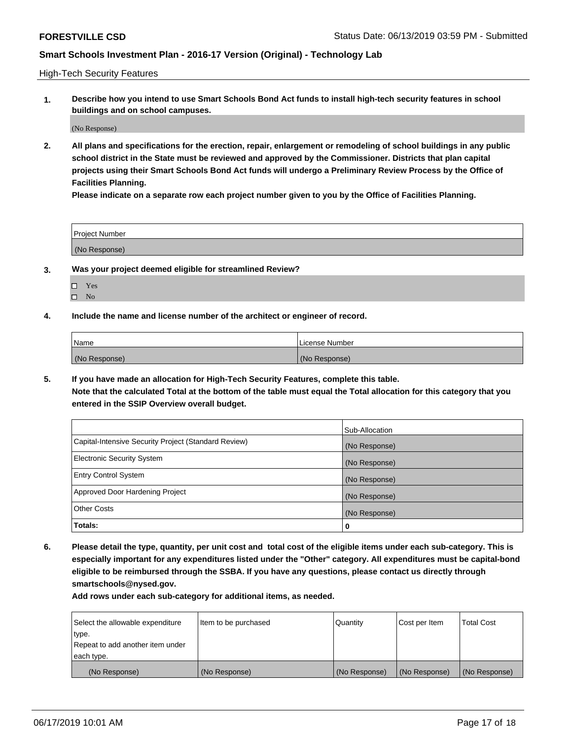High-Tech Security Features

**1. Describe how you intend to use Smart Schools Bond Act funds to install high-tech security features in school buildings and on school campuses.**

(No Response)

**2. All plans and specifications for the erection, repair, enlargement or remodeling of school buildings in any public school district in the State must be reviewed and approved by the Commissioner. Districts that plan capital projects using their Smart Schools Bond Act funds will undergo a Preliminary Review Process by the Office of Facilities Planning.** 

**Please indicate on a separate row each project number given to you by the Office of Facilities Planning.**

| <b>Project Number</b> |  |
|-----------------------|--|
| (No Response)         |  |

- **3. Was your project deemed eligible for streamlined Review?**
	- Yes
	- $\square$  No
- **4. Include the name and license number of the architect or engineer of record.**

| <b>Name</b>   | License Number |
|---------------|----------------|
| (No Response) | (No Response)  |

**5. If you have made an allocation for High-Tech Security Features, complete this table.**

**Note that the calculated Total at the bottom of the table must equal the Total allocation for this category that you entered in the SSIP Overview overall budget.**

|                                                      | Sub-Allocation |
|------------------------------------------------------|----------------|
| Capital-Intensive Security Project (Standard Review) | (No Response)  |
| <b>Electronic Security System</b>                    | (No Response)  |
| <b>Entry Control System</b>                          | (No Response)  |
| Approved Door Hardening Project                      | (No Response)  |
| <b>Other Costs</b>                                   | (No Response)  |
| Totals:                                              | 0              |

**6. Please detail the type, quantity, per unit cost and total cost of the eligible items under each sub-category. This is especially important for any expenditures listed under the "Other" category. All expenditures must be capital-bond eligible to be reimbursed through the SSBA. If you have any questions, please contact us directly through smartschools@nysed.gov.**

| Select the allowable expenditure | Item to be purchased | l Quantitv    | Cost per Item | <b>Total Cost</b> |
|----------------------------------|----------------------|---------------|---------------|-------------------|
| type.                            |                      |               |               |                   |
| Repeat to add another item under |                      |               |               |                   |
| each type.                       |                      |               |               |                   |
| (No Response)                    | (No Response)        | (No Response) | (No Response) | (No Response)     |